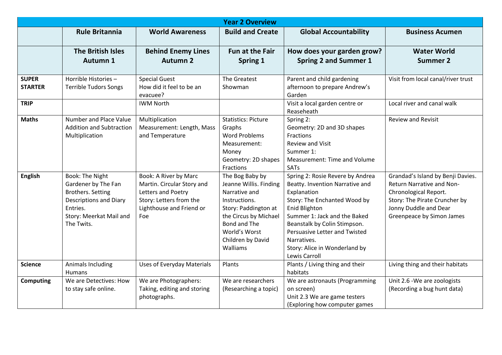| <b>Year 2 Overview</b>         |                                                                                                                                                   |                                                                                                                                                |                                                                                                                                                                                                |                                                                                                                                                                                                                                                                                                       |                                                                                                                                                                                |  |  |  |
|--------------------------------|---------------------------------------------------------------------------------------------------------------------------------------------------|------------------------------------------------------------------------------------------------------------------------------------------------|------------------------------------------------------------------------------------------------------------------------------------------------------------------------------------------------|-------------------------------------------------------------------------------------------------------------------------------------------------------------------------------------------------------------------------------------------------------------------------------------------------------|--------------------------------------------------------------------------------------------------------------------------------------------------------------------------------|--|--|--|
|                                | <b>Rule Britannia</b>                                                                                                                             | <b>World Awareness</b>                                                                                                                         | <b>Build and Create</b>                                                                                                                                                                        | <b>Global Accountability</b>                                                                                                                                                                                                                                                                          | <b>Business Acumen</b>                                                                                                                                                         |  |  |  |
|                                | <b>The British Isles</b><br>Autumn 1                                                                                                              | <b>Behind Enemy Lines</b><br><b>Autumn 2</b>                                                                                                   | <b>Fun at the Fair</b><br>Spring 1                                                                                                                                                             | How does your garden grow?<br><b>Spring 2 and Summer 1</b>                                                                                                                                                                                                                                            | <b>Water World</b><br><b>Summer 2</b>                                                                                                                                          |  |  |  |
| <b>SUPER</b><br><b>STARTER</b> | Horrible Histories-<br><b>Terrible Tudors Songs</b>                                                                                               | <b>Special Guest</b><br>How did it feel to be an<br>evacuee?                                                                                   | The Greatest<br>Showman                                                                                                                                                                        | Parent and child gardening<br>afternoon to prepare Andrew's<br>Garden                                                                                                                                                                                                                                 | Visit from local canal/river trust                                                                                                                                             |  |  |  |
| <b>TRIP</b>                    |                                                                                                                                                   | <b>IWM North</b>                                                                                                                               |                                                                                                                                                                                                | Visit a local garden centre or<br>Reaseheath                                                                                                                                                                                                                                                          | Local river and canal walk                                                                                                                                                     |  |  |  |
| <b>Maths</b>                   | Number and Place Value<br><b>Addition and Subtraction</b><br>Multiplication                                                                       | Multiplication<br>Measurement: Length, Mass<br>and Temperature                                                                                 | <b>Statistics: Picture</b><br>Graphs<br><b>Word Problems</b><br>Measurement:<br>Money<br>Geometry: 2D shapes<br>Fractions                                                                      | Spring 2:<br>Geometry: 2D and 3D shapes<br>Fractions<br><b>Review and Visit</b><br>Summer 1:<br>Measurement: Time and Volume<br>SATs                                                                                                                                                                  | <b>Review and Revisit</b>                                                                                                                                                      |  |  |  |
| <b>English</b>                 | Book: The Night<br>Gardener by The Fan<br><b>Brothers. Setting</b><br>Descriptions and Diary<br>Entries.<br>Story: Meerkat Mail and<br>The Twits. | <b>Book: A River by Marc</b><br>Martin. Circular Story and<br>Letters and Poetry<br>Story: Letters from the<br>Lighthouse and Friend or<br>Foe | The Bog Baby by<br>Jeanne Willis. Finding<br>Narrative and<br>Instructions.<br>Story: Paddington at<br>the Circus by Michael<br>Bond and The<br>World's Worst<br>Children by David<br>Walliams | Spring 2: Rosie Revere by Andrea<br>Beatty. Invention Narrative and<br>Explanation<br>Story: The Enchanted Wood by<br>Enid Blighton<br>Summer 1: Jack and the Baked<br>Beanstalk by Colin Stimpson.<br>Persuasive Letter and Twisted<br>Narratives.<br>Story: Alice in Wonderland by<br>Lewis Carroll | Grandad's Island by Benji Davies.<br>Return Narrative and Non-<br>Chronological Report.<br>Story: The Pirate Cruncher by<br>Jonny Duddle and Dear<br>Greenpeace by Simon James |  |  |  |
| <b>Science</b>                 | Animals Including<br><b>Humans</b>                                                                                                                | <b>Uses of Everyday Materials</b>                                                                                                              | Plants                                                                                                                                                                                         | Plants / Living thing and their<br>habitats                                                                                                                                                                                                                                                           | Living thing and their habitats                                                                                                                                                |  |  |  |
| <b>Computing</b>               | We are Detectives: How<br>to stay safe online.                                                                                                    | We are Photographers:<br>Taking, editing and storing<br>photographs.                                                                           | We are researchers<br>(Researching a topic)                                                                                                                                                    | We are astronauts (Programming<br>on screen)<br>Unit 2.3 We are game testers<br>(Exploring how computer games                                                                                                                                                                                         | Unit 2.6 - We are zoologists<br>(Recording a bug hunt data)                                                                                                                    |  |  |  |